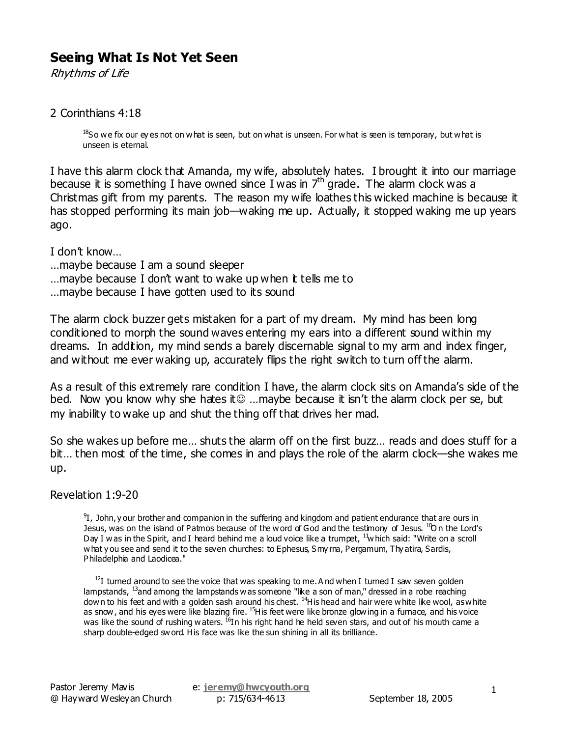# **Seeing What Is Not Yet Seen**

Rhythms of Life

### 2 Corinthians 4:18

<sup>18</sup>So we fix our ey es not on what is seen, but on what is unseen. For what is seen is temporary, but what is unseen is eternal.

I have this alarm clock that Amanda, my wife, absolutely hates. I brought it into our marriage because it is something I have owned since I was in  $7<sup>th</sup>$  grade. The alarm clock was a Christmas gift from my parents. The reason my wife loathes this wicked machine is because it has stopped performing its main job—waking me up. Actually, it stopped waking me up years ago.

I don't know…

…maybe because I am a sound sleeper …maybe because I don't want to wake up when it tells me to ... may be because I have gotten used to its sound

The alarm clock buzzer gets mistaken for a part of my dream. My mind has been long conditioned to morph the sound waves entering my ears into a different sound within my dreams. In addition, my mind sends a barely discernable signal to my arm and index finger, and without me ever waking up, accurately flips the right switch to turn off the alarm.

As a result of this extremely rare condition I have, the alarm clock sits on Amanda's side of the bed. Now you know why she hates it☺ ...maybe because it isn't the alarm clock per se, but my inability to wake up and shut the thing off that drives her mad.

So she wakes up before me… shuts the alarm off on the first buzz… reads and does stuff for a bit... then most of the time, she comes in and plays the role of the alarm clock—she wakes me up.

Revelation 1:9-20

 $^{9}I$ , John, y our brother and companion in the suffering and kingdom and patient endurance that are ours in Jesus, was on the island of Patmos because of the word of God and the testimony of Jesus. <sup>10</sup>On the Lord's Day I was in the Spirit, and I heard behind me a loud voice like a trumpet, <sup>11</sup>which said: "Write on a scroll what y ou see and send it to the seven churches: to Ephesus, Smy rna, Pergamum, Thy atira, Sardis, Philadelphia and Laodicea."

 $12I$  turned around to see the voice that was speaking to me. And when I turned I saw seven golden lampstands, <sup>13</sup>and among the lampstands was someone "like a son of man," dressed in a robe reaching down to his feet and with a golden sash around his chest. <sup>14</sup>His head and hair were white like wool, as white as snow, and his eves were like blazing fire. <sup>15</sup>His feet were like bronze glowing in a furnace, and his voice was like the sound of rushing waters. <sup>16</sup>In his right hand he held seven stars, and out of his mouth came a sharp double-edged sword. His face was like the sun shining in all its brilliance.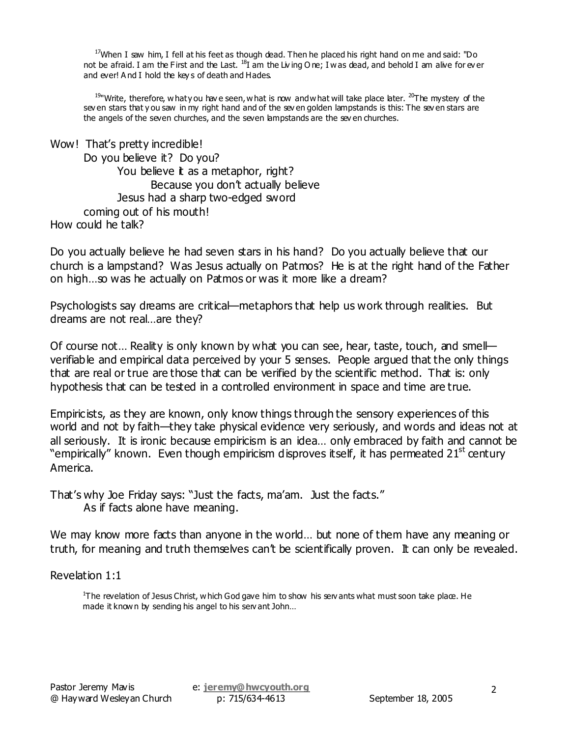$17$ When I saw him, I fell at his feet as though dead. Then he placed his right hand on me and said: "Do not be afraid. I am the First and the Last. <sup>18</sup>I am the Living O ne; I was dead, and behold I am alive for ev er and ever! A nd I hold the key s of death and Hades.

<sup>19</sup>"Write, therefore, what y ou have seen, what is now and what will take place later. <sup>20</sup>The mystery of the sev en stars that y ou saw in my right hand and of the sev en golden lampstands is this: The sev en stars are the angels of the seven churches, and the seven lampstands are the sev en churches.

| Wow! That's pretty incredible!       |
|--------------------------------------|
| Do you believe it? Do you?           |
| You believe it as a metaphor, right? |
| Because you don't actually believe   |
| Jesus had a sharp two-edged sword    |
| coming out of his mouth!             |
| How could he talk?                   |

Do you actually believe he had seven stars in his hand? Do you actually believe that our church is a lampstand? Was Jesus actually on Patmos? He is at the right hand of the Father on high…so was he actually on Patmos or was it more like a dream?

Psychologists say dreams are critical—metaphors that help us work through realities. But dreams are not real…are they?

Of course not… Reality is only known by what you can see, hear, taste, touch, and smell verifiable and empirical data perceived by your 5 senses. People argued that the only things that are real or true are those that can be verified by the scientific method. That is: only hypothesis that can be tested in a controlled environment in space and time are true.

Empiricists, as they are known, only know things through the sensory experiences of this world and not by faith—they take physical evidence very seriously, and words and ideas not at all seriously. It is ironic because empiricism is an idea… only embraced by faith and cannot be "empirically" known. Even though empiricism disproves itself, it has permeated 21<sup>st</sup> century America.

That's why Joe Friday says: "Just the facts, ma'am. Just the facts." As if facts alone have meaning.

We may know more facts than anyone in the world… but none of them have any meaning or truth, for meaning and truth themselves can't be scientifically proven. It can only be revealed.

Revelation 1:1

<sup>1</sup>The revelation of Jesus Christ, which God gave him to show his servants what must soon take place. He made it known by sending his angel to his serv ant John...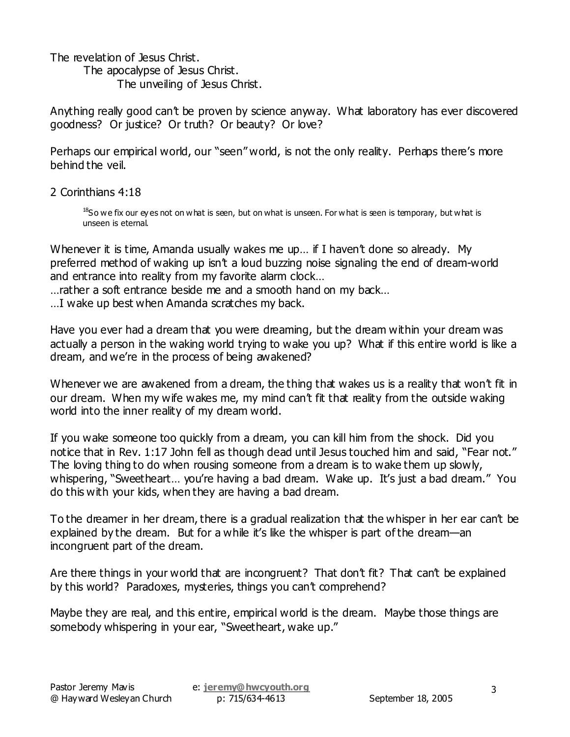The revelation of Jesus Christ.

 The apocalypse of Jesus Christ. The unveiling of Jesus Christ.

Anything really good can't be proven by science anyway. What laboratory has ever discovered goodness? Or justice? Or truth? Or beauty? Or love?

Perhaps our empirical world, our "seen" world, is not the only reality. Perhaps there's more behind the veil.

2 Corinthians 4:18

 $^{18}$ So we fix our ey es not on what is seen, but on what is unseen. For what is seen is temporary, but what is unseen is eternal.

Whenever it is time, Amanda usually wakes me up... if I haven't done so already. My preferred method of waking up isn't a loud buzzing noise signaling the end of dream-world and entrance into reality from my favorite alarm clock…

…rather a soft entrance beside me and a smooth hand on my back…

…I wake up best when Amanda scratches my back.

Have you ever had a dream that you were dreaming, but the dream within your dream was actually a person in the waking world trying to wake you up? What if this entire world is like a dream, and we're in the process of being awakened?

Whenever we are awakened from a dream, the thing that wakes us is a reality that won't fit in our dream. When my wife wakes me, my mind can't fit that reality from the outside waking world into the inner reality of my dream world.

If you wake someone too quickly from a dream, you can kill him from the shock. Did you notice that in Rev. 1:17 John fell as though dead until Jesus touched him and said, "Fear not." The loving thing to do when rousing someone from a dream is to wake them up slowly, whispering, "Sweetheart... you're having a bad dream. Wake up. It's just a bad dream." You do this with your kids, when they are having a bad dream.

To the dreamer in her dream, there is a gradual realization that the whisper in her ear can't be explained by the dream. But for a while it's like the whisper is part of the dream—an incongruent part of the dream.

Are there things in your world that are incongruent? That don't fit? That can't be explained by this world? Paradoxes, mysteries, things you can't comprehend?

Maybe they are real, and this entire, empirical world is the dream. Maybe those things are somebody whispering in your ear, "Sweetheart, wake up."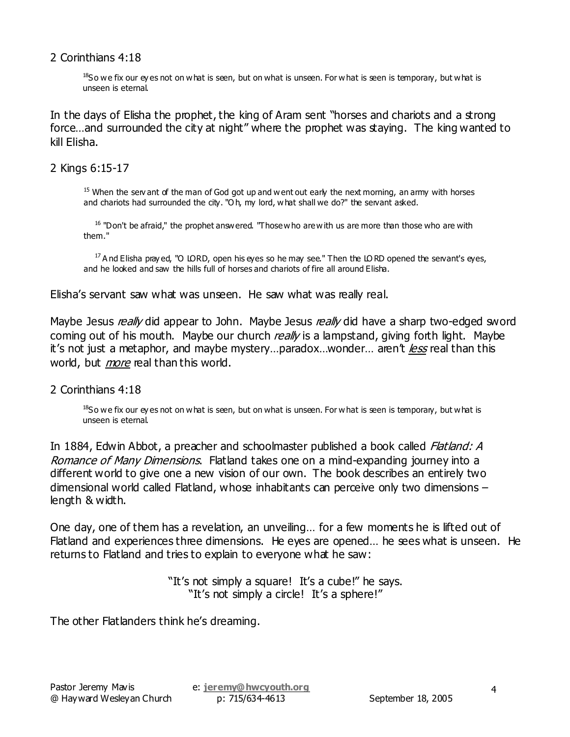### 2 Corinthians 4:18

 $^{18}$ So we fix our ey es not on what is seen, but on what is unseen. For what is seen is temporary, but what is unseen is eternal.

In the days of Elisha the prophet, the king of Aram sent "horses and chariots and a strong force...and surrounded the city at night" where the prophet was staying. The king wanted to kill Elisha.

## 2 Kings 6:15-17

 $15$  When the serv ant of the man of God got up and went out early the next morning, an army with horses and chariots had surrounded the city. "O h, my lord, what shall we do?" the servant asked.

<sup>16</sup> "Don't be afraid," the prophet answered. "Those who are with us are more than those who are with them."

 $17$  And Elisha pray ed, "O LORD, open his eyes so he may see." Then the LORD opened the servant's eyes, and he looked and saw the hills full of horses and chariots of fire all around Elisha.

Elisha's servant saw what was unseen. He saw what was really real.

Maybe Jesus really did appear to John. Maybe Jesus really did have a sharp two-edged sword coming out of his mouth. Maybe our church really is a lampstand, giving forth light. Maybe it's not just a metaphor, and maybe mystery…paradox…wonder… aren't less real than this world, but *more* real than this world.

#### 2 Corinthians 4:18

 $^{18}$ So we fix our ey es not on what is seen, but on what is unseen. For what is seen is temporary, but what is unseen is eternal.

In 1884, Edwin Abbot, a preacher and schoolmaster published a book called *Flatland: A* Romance of Many Dimensions. Flatland takes one on a mind-expanding journey into a different world to give one a new vision of our own. The book describes an entirely two dimensional world called Flatland, whose inhabitants can perceive only two dimensions length & width.

One day, one of them has a revelation, an unveiling… for a few moments he is lifted out of Flatland and experiences three dimensions. He eyes are opened… he sees what is unseen. He returns to Flatland and tries to explain to everyone what he saw:

> "It's not simply a square! It's a cube!" he says. "It's not simply a circle! It's a sphere!"

The other Flatlanders think he's dreaming.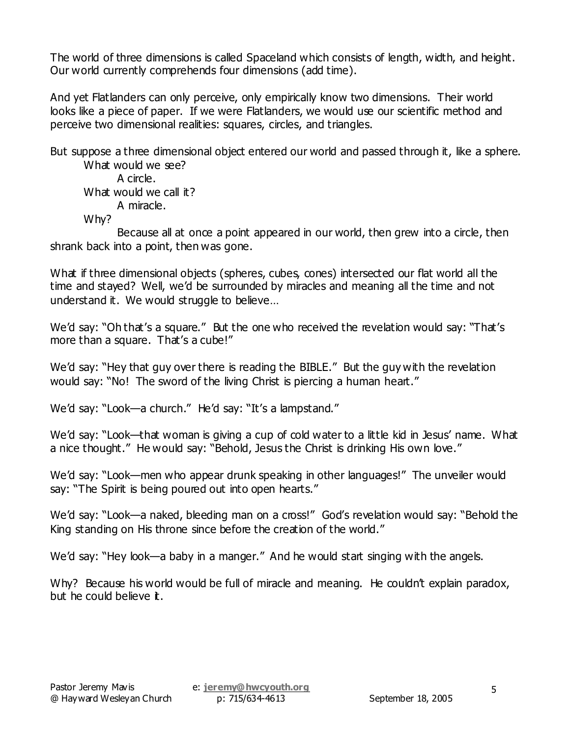The world of three dimensions is called Spaceland which consists of length, width, and height. Our world currently comprehends four dimensions (add time).

And yet Flatlanders can only perceive, only empirically know two dimensions. Their world looks like a piece of paper. If we were Flatlanders, we would use our scientific method and perceive two dimensional realities: squares, circles, and triangles.

But suppose a three dimensional object entered our world and passed through it, like a sphere. What would we see?

A circle. What would we call it? A miracle.

Why?

 Because all at once a point appeared in our world, then grew into a circle, then shrank back into a point, then was gone.

What if three dimensional objects (spheres, cubes, cones) intersected our flat world all the time and stayed? Well, we'd be surrounded by miracles and meaning all the time and not understand it. We would struggle to believe…

We'd say: "Oh that's a square." But the one who received the revelation would say: "That's more than a square. That's a cube!"

We'd say: "Hey that guy over there is reading the BIBLE." But the guy with the revelation would say: "No! The sword of the living Christ is piercing a human heart."

We'd say: "Look—a church." He'd say: "It's a lampstand."

We'd say: "Look—that woman is giving a cup of cold water to a little kid in Jesus' name. What a nice thought." He would say: "Behold, Jesus the Christ is drinking His own love."

We'd say: "Look—men who appear drunk speaking in other languages!" The unveiler would say: "The Spirit is being poured out into open hearts."

We'd say: "Look—a naked, bleeding man on a cross!" God's revelation would say: "Behold the King standing on His throne since before the creation of the world."

We'd say: "Hey look—a baby in a manger." And he would start singing with the angels.

Why? Because his world would be full of miracle and meaning. He couldn't explain paradox, but he could believe it.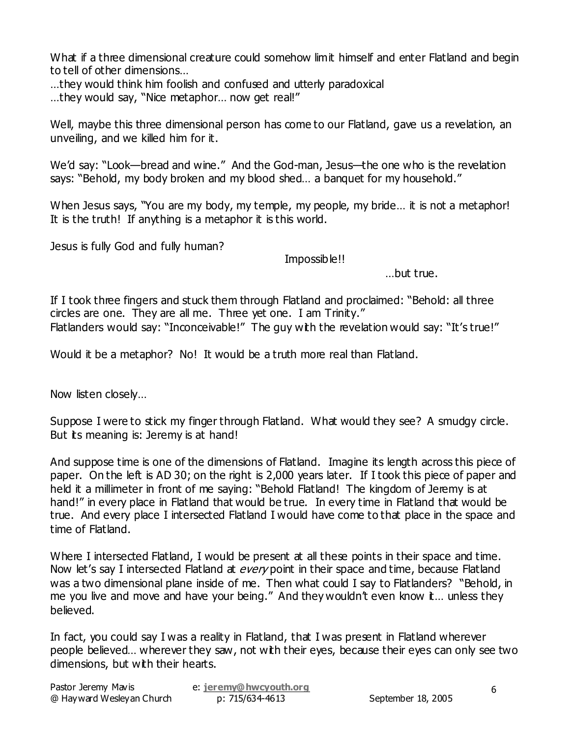What if a three dimensional creature could somehow limit himself and enter Flatland and begin to tell of other dimensions…

…they would think him foolish and confused and utterly paradoxical

…they would say, "Nice metaphor… now get real!"

Well, maybe this three dimensional person has come to our Flatland, gave us a revelation, an unveiling, and we killed him for it.

We'd say: "Look—bread and wine." And the God-man, Jesus—the one who is the revelation says: "Behold, my body broken and my blood shed… a banquet for my household."

When Jesus says, "You are my body, my temple, my people, my bride... it is not a metaphor! It is the truth! If anything is a metaphor it is this world.

Jesus is fully God and fully human?

Impossible!!

…but true.

If I took three fingers and stuck them through Flatland and proclaimed: "Behold: all three circles are one. They are all me. Three yet one. I am Trinity." Flatlanders would say: "Inconceivable!" The guy with the revelation would say: "It's true!"

Would it be a metaphor? No! It would be a truth more real than Flatland.

Now listen closely…

Suppose I were to stick my finger through Flatland. What would they see? A smudgy circle. But its meaning is: Jeremy is at hand!

And suppose time is one of the dimensions of Flatland. Imagine its length across this piece of paper. On the left is AD 30; on the right is 2,000 years later. If I took this piece of paper and held it a millimeter in front of me saying: "Behold Flatland! The kingdom of Jeremy is at hand!" in every place in Flatland that would be true. In every time in Flatland that would be true. And every place I intersected Flatland I would have come to that place in the space and time of Flatland.

Where I intersected Flatland, I would be present at all these points in their space and time. Now let's say I intersected Flatland at every point in their space and time, because Flatland was a two dimensional plane inside of me. Then what could I say to Flatlanders? "Behold, in me you live and move and have your being." And they wouldn't even know it... unless they believed.

In fact, you could say I was a reality in Flatland, that I was present in Flatland wherever people believed… wherever they saw, not with their eyes, because their eyes can only see two dimensions, but with their hearts.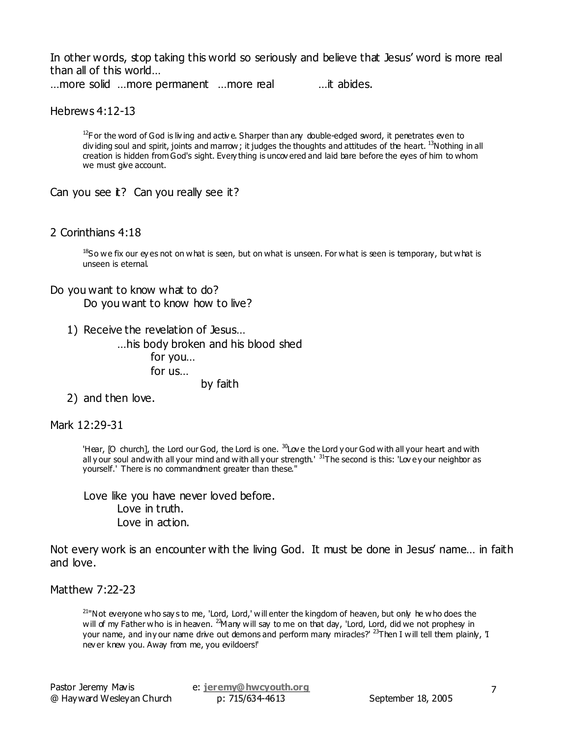In other words, stop taking this world so seriously and believe that Jesus' word is more real than all of this world…

…more solid …more permanent …more real …it abides.

Hebrews 4:12-13

<sup>12</sup>For the word of God is living and active. Sharper than any double-edged sword, it penetrates even to div iding soul and spirit, joints and marrow; it judges the thoughts and attitudes of the heart. <sup>13</sup>Nothing in all creation is hidden from God's sight. Every thing is uncov ered and laid bare before the eyes of him to whom we must give account.

Can you see it? Can you really see it?

#### 2 Corinthians 4:18

<sup>18</sup>So we fix our ey es not on what is seen, but on what is unseen. For what is seen is temporary, but what is unseen is eternal.

#### Do you want to know what to do?

Do you want to know how to live?

1) Receive the revelation of Jesus…

…his body broken and his blood shed for you… for us…

by faith

2) and then love.

Mark 12:29-31

'Hear, [O church], the Lord our God, the Lord is one.  $^{30}$ Lov e the Lord y our God with all your heart and with all y our soul and with all your mind and with all y our strength.<sup>131</sup>The second is this: 'Lovey our neighbor as yourself.' There is no commandment greater than these."

Love like you have never loved before. Love in truth. Love in action.

Not every work is an encounter with the living God. It must be done in Jesus' name… in faith and love.

Matthew 7:22-23

 $21<sup>n</sup>$ Not everyone who say s to me, 'Lord, Lord,' will enter the kingdom of heaven, but only he who does the will of my Father who is in heaven. <sup>2</sup>Many will say to me on that day, 'Lord, Lord, did we not prophesy in your name, and in y our name drive out demons and perform many miracles?' <sup>23</sup>Then I will tell them plainly, 'I nev er knew you. Away from me, you evildoers!'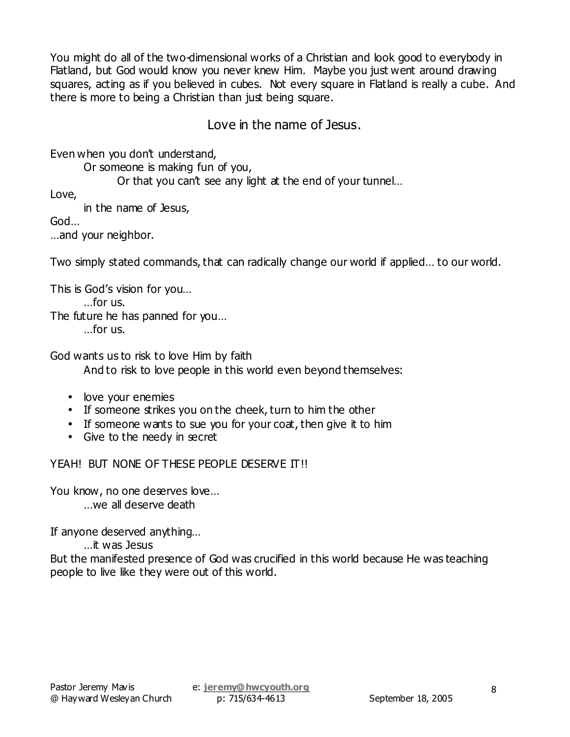You might do all of the two-dimensional works of a Christian and look good to everybody in Flatland, but God would know you never knew Him. Maybe you just went around drawing squares, acting as if you believed in cubes. Not every square in Flatland is really a cube. And there is more to being a Christian than just being square.

Love in the name of Jesus.

Even when you don't understand,

Or someone is making fun of you,

Or that you can't see any light at the end of your tunnel…

Love,

in the name of Jesus,

God…

…and your neighbor.

Two simply stated commands, that can radically change our world if applied… to our world.

This is God's vision for you… …for us. The future he has panned for you… …for us.

God wants us to risk to love Him by faith And to risk to love people in this world even beyond themselves:

- love your enemies
- If someone strikes you on the cheek, turn to him the other
- If someone wants to sue you for your coat, then give it to him
- Give to the needy in secret

YEAH! BUT NONE OF THESE PEOPLE DESERVE IT!!

You know, no one deserves love... …we all deserve death

If anyone deserved anything…

…it was Jesus

But the manifested presence of God was crucified in this world because He was teaching people to live like they were out of this world.